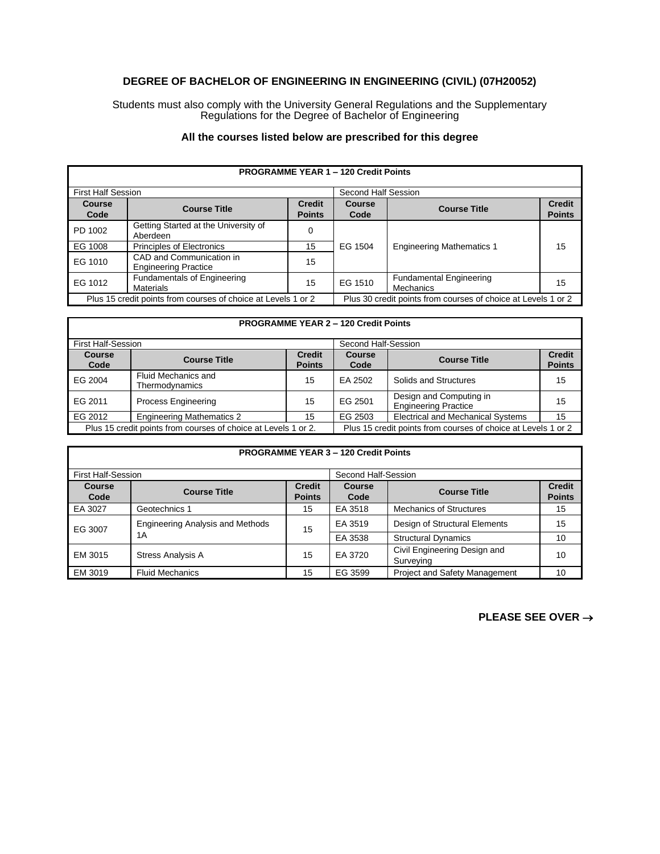## **DEGREE OF BACHELOR OF ENGINEERING IN ENGINEERING (CIVIL) (07H20052)**

Students must also comply with the University General Regulations and the Supplementary Regulations for the Degree of Bachelor of Engineering

## **All the courses listed below are prescribed for this degree**

| <b>PROGRAMME YEAR 1 - 120 Credit Points</b>                   |                                                         |                                |                                                               |                                             |                                |
|---------------------------------------------------------------|---------------------------------------------------------|--------------------------------|---------------------------------------------------------------|---------------------------------------------|--------------------------------|
| <b>First Half Session</b>                                     |                                                         |                                | Second Half Session                                           |                                             |                                |
| <b>Course</b><br>Code                                         | <b>Course Title</b>                                     | <b>Credit</b><br><b>Points</b> | Course<br>Code                                                | <b>Course Title</b>                         | <b>Credit</b><br><b>Points</b> |
| PD 1002                                                       | Getting Started at the University of<br>Aberdeen        |                                |                                                               |                                             |                                |
| EG 1008                                                       | <b>Principles of Electronics</b>                        | 15                             | EG 1504                                                       | <b>Engineering Mathematics 1</b>            | 15                             |
| EG 1010                                                       | CAD and Communication in<br><b>Engineering Practice</b> | 15                             |                                                               |                                             |                                |
| EG 1012                                                       | <b>Fundamentals of Engineering</b><br><b>Materials</b>  | 15                             | EG 1510                                                       | <b>Fundamental Engineering</b><br>Mechanics | 15                             |
| Plus 15 credit points from courses of choice at Levels 1 or 2 |                                                         |                                | Plus 30 credit points from courses of choice at Levels 1 or 2 |                                             |                                |

| <b>PROGRAMME YEAR 2 - 120 Credit Points</b>                    |                                              |                                |                                                               |                                                        |                                |
|----------------------------------------------------------------|----------------------------------------------|--------------------------------|---------------------------------------------------------------|--------------------------------------------------------|--------------------------------|
| <b>First Half-Session</b>                                      |                                              |                                | Second Half-Session                                           |                                                        |                                |
| <b>Course</b><br>Code                                          | <b>Course Title</b>                          | <b>Credit</b><br><b>Points</b> | <b>Course</b><br>Code                                         | <b>Course Title</b>                                    | <b>Credit</b><br><b>Points</b> |
| EG 2004                                                        | <b>Fluid Mechanics and</b><br>Thermodynamics | 15                             | EA 2502                                                       | Solids and Structures                                  | 15                             |
| EG 2011                                                        | <b>Process Engineering</b>                   | 15                             | EG 2501                                                       | Design and Computing in<br><b>Engineering Practice</b> | 15                             |
| EG 2012                                                        | <b>Engineering Mathematics 2</b>             | 15                             | EG 2503                                                       | <b>Electrical and Mechanical Systems</b>               | 15                             |
| Plus 15 credit points from courses of choice at Levels 1 or 2. |                                              |                                | Plus 15 credit points from courses of choice at Levels 1 or 2 |                                                        |                                |

| <b>PROGRAMME YEAR 3 - 120 Credit Points</b> |                                                |                                |                     |                                           |                                |
|---------------------------------------------|------------------------------------------------|--------------------------------|---------------------|-------------------------------------------|--------------------------------|
| <b>First Half-Session</b>                   |                                                |                                | Second Half-Session |                                           |                                |
| Course<br>Code                              | <b>Course Title</b>                            | <b>Credit</b><br><b>Points</b> | Course<br>Code      | <b>Course Title</b>                       | <b>Credit</b><br><b>Points</b> |
| EA 3027                                     | Geotechnics 1                                  | 15                             | EA 3518             | <b>Mechanics of Structures</b>            | 15                             |
| EG 3007                                     | <b>Engineering Analysis and Methods</b><br>1 A | 15                             | EA 3519             | Design of Structural Elements             | 15                             |
|                                             |                                                |                                | EA 3538             | <b>Structural Dynamics</b>                | 10                             |
| EM 3015                                     | <b>Stress Analysis A</b>                       | 15                             | EA 3720             | Civil Engineering Design and<br>Surveying | 10                             |
| EM 3019                                     | <b>Fluid Mechanics</b>                         | 15                             | EG 3599             | <b>Project and Safety Management</b>      | 10                             |

**PLEASE SEE OVER** →